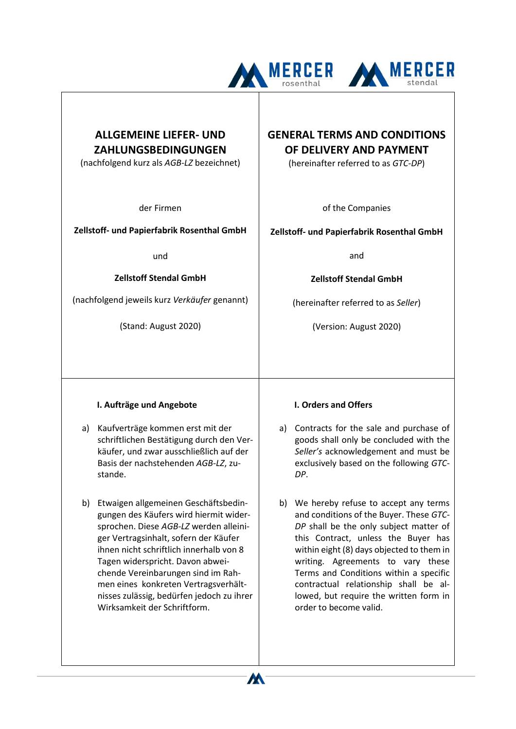



## **ALLGEMEINE LIEFER- UND ZAHLUNGSBEDINGUNGEN**

(nachfolgend kurz als *AGB-LZ* bezeichnet)

der Firmen

## **Zellstoff- und Papierfabrik Rosenthal GmbH**

und

**Zellstoff Stendal GmbH**

(nachfolgend jeweils kurz *Verkäufer* genannt)

(Stand: August 2020)

# **GENERAL TERMS AND CONDITIONS OF DELIVERY AND PAYMENT**

(hereinafter referred to as *GTC-DP*)

of the Companies

## **Zellstoff- und Papierfabrik Rosenthal GmbH**

and

**Zellstoff Stendal GmbH**

(hereinafter referred to as *Seller*)

(Version: August 2020)

## **I. Aufträge und Angebote**

- a) Kaufverträge kommen erst mit der schriftlichen Bestätigung durch den Verkäufer, und zwar ausschließlich auf der Basis der nachstehenden *AGB-LZ*, zustande.
- b) Etwaigen allgemeinen Geschäftsbedingungen des Käufers wird hiermit widersprochen. Diese *AGB-LZ* werden alleiniger Vertragsinhalt, sofern der Käufer ihnen nicht schriftlich innerhalb von 8 Tagen widerspricht. Davon abweichende Vereinbarungen sind im Rahmen eines konkreten Vertragsverhältnisses zulässig, bedürfen jedoch zu ihrer Wirksamkeit der Schriftform.

## **I. Orders and Offers**

- a) Contracts for the sale and purchase of goods shall only be concluded with the *Seller's* acknowledgement and must be exclusively based on the following *GTC-DP*.
- b) We hereby refuse to accept any terms and conditions of the Buyer. These *GTC-DP* shall be the only subject matter of this Contract, unless the Buyer has within eight (8) days objected to them in writing. Agreements to vary these Terms and Conditions within a specific contractual relationship shall be allowed, but require the written form in order to become valid.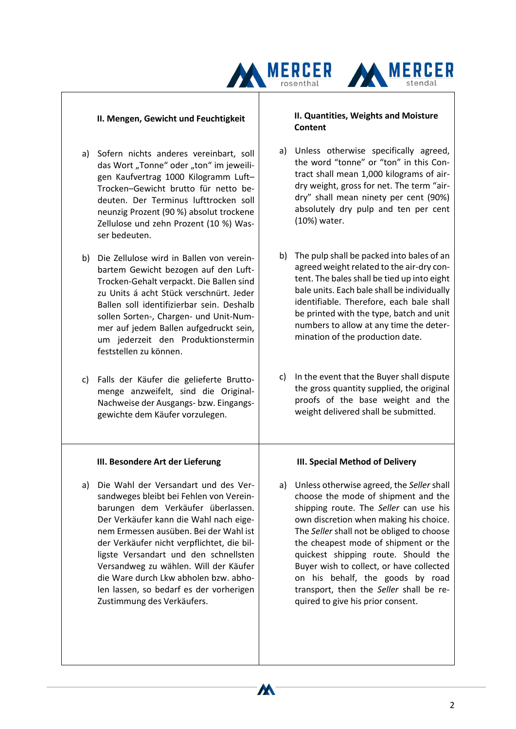## **II. Mengen, Gewicht und Feuchtigkeit**

- a) Sofern nichts anderes vereinbart, soll das Wort "Tonne" oder "ton" im jeweiligen Kaufvertrag 1000 Kilogramm Luft– Trocken–Gewicht brutto für netto bedeuten. Der Terminus lufttrocken soll neunzig Prozent (90 %) absolut trockene Zellulose und zehn Prozent (10 %) Wasser bedeuten.
- b) Die Zellulose wird in Ballen von vereinbartem Gewicht bezogen auf den Luft-Trocken-Gehalt verpackt. Die Ballen sind zu Units á acht Stück verschnürt. Jeder Ballen soll identifizierbar sein. Deshalb sollen Sorten-, Chargen- und Unit-Nummer auf jedem Ballen aufgedruckt sein, um jederzeit den Produktionstermin feststellen zu können.
- c) Falls der Käufer die gelieferte Bruttomenge anzweifelt, sind die Original-Nachweise der Ausgangs- bzw. Eingangsgewichte dem Käufer vorzulegen.

#### **III. Besondere Art der Lieferung**

a) Die Wahl der Versandart und des Versandweges bleibt bei Fehlen von Vereinbarungen dem Verkäufer überlassen. Der Verkäufer kann die Wahl nach eigenem Ermessen ausüben. Bei der Wahl ist der Verkäufer nicht verpflichtet, die billigste Versandart und den schnellsten Versandweg zu wählen. Will der Käufer die Ware durch Lkw abholen bzw. abholen lassen, so bedarf es der vorherigen Zustimmung des Verkäufers.

#### **II. Quantities, Weights and Moisture Content**

**AA MERCER** 

MERCER

- a) Unless otherwise specifically agreed, the word "tonne" or "ton" in this Contract shall mean 1,000 kilograms of airdry weight, gross for net. The term "airdry" shall mean ninety per cent (90%) absolutely dry pulp and ten per cent (10%) water.
- b) The pulp shall be packed into bales of an agreed weight related to the air-dry content. The bales shall be tied up into eight bale units. Each bale shall be individually identifiable. Therefore, each bale shall be printed with the type, batch and unit numbers to allow at any time the determination of the production date.
- c) In the event that the Buyer shall dispute the gross quantity supplied, the original proofs of the base weight and the weight delivered shall be submitted.

#### **III. Special Method of Delivery**

a) Unless otherwise agreed, the *Seller* shall choose the mode of shipment and the shipping route. The *Seller* can use his own discretion when making his choice. The *Seller* shall not be obliged to choose the cheapest mode of shipment or the quickest shipping route. Should the Buyer wish to collect, or have collected on his behalf, the goods by road transport, then the *Seller* shall be required to give his prior consent.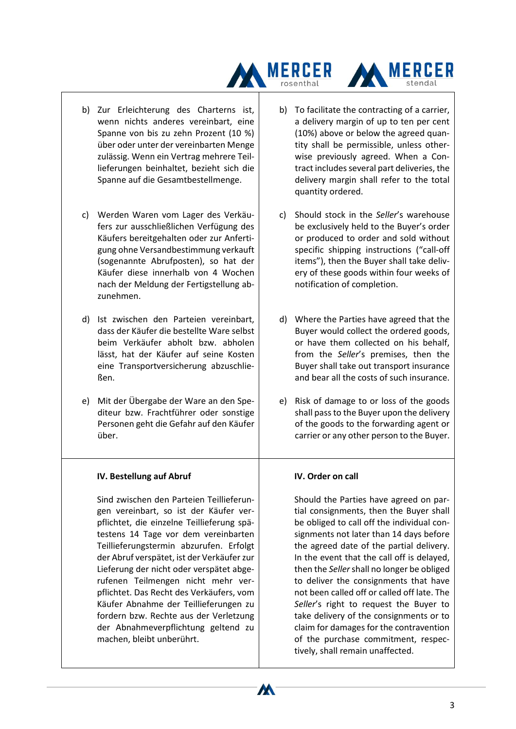

- b) Zur Erleichterung des Charterns ist, wenn nichts anderes vereinbart, eine Spanne von bis zu zehn Prozent (10 %) über oder unter der vereinbarten Menge zulässig. Wenn ein Vertrag mehrere Teillieferungen beinhaltet, bezieht sich die Spanne auf die Gesamtbestellmenge.
- c) Werden Waren vom Lager des Verkäufers zur ausschließlichen Verfügung des Käufers bereitgehalten oder zur Anfertigung ohne Versandbestimmung verkauft (sogenannte Abrufposten), so hat der Käufer diese innerhalb von 4 Wochen nach der Meldung der Fertigstellung abzunehmen.
- d) Ist zwischen den Parteien vereinbart, dass der Käufer die bestellte Ware selbst beim Verkäufer abholt bzw. abholen lässt, hat der Käufer auf seine Kosten eine Transportversicherung abzuschließen.
- e) Mit der Übergabe der Ware an den Spediteur bzw. Frachtführer oder sonstige Personen geht die Gefahr auf den Käufer über.

## **IV. Bestellung auf Abruf**

Sind zwischen den Parteien Teillieferungen vereinbart, so ist der Käufer verpflichtet, die einzelne Teillieferung spätestens 14 Tage vor dem vereinbarten Teillieferungstermin abzurufen. Erfolgt der Abruf verspätet, ist der Verkäufer zur Lieferung der nicht oder verspätet abgerufenen Teilmengen nicht mehr verpflichtet. Das Recht des Verkäufers, vom Käufer Abnahme der Teillieferungen zu fordern bzw. Rechte aus der Verletzung der Abnahmeverpflichtung geltend zu machen, bleibt unberührt.

b) To facilitate the contracting of a carrier, a delivery margin of up to ten per cent (10%) above or below the agreed quantity shall be permissible, unless otherwise previously agreed. When a Contract includes several part deliveries, the delivery margin shall refer to the total quantity ordered.

**MERCER** 

- c) Should stock in the *Seller*'s warehouse be exclusively held to the Buyer's order or produced to order and sold without specific shipping instructions ("call-off items"), then the Buyer shall take delivery of these goods within four weeks of notification of completion.
- d) Where the Parties have agreed that the Buyer would collect the ordered goods, or have them collected on his behalf, from the *Seller*'s premises, then the Buyer shall take out transport insurance and bear all the costs of such insurance.
- e) Risk of damage to or loss of the goods shall pass to the Buyer upon the delivery of the goods to the forwarding agent or carrier or any other person to the Buyer.

#### **IV. Order on call**

Should the Parties have agreed on partial consignments, then the Buyer shall be obliged to call off the individual consignments not later than 14 days before the agreed date of the partial delivery. In the event that the call off is delayed, then the *Seller*shall no longer be obliged to deliver the consignments that have not been called off or called off late. The *Seller*'s right to request the Buyer to take delivery of the consignments or to claim for damages for the contravention of the purchase commitment, respectively, shall remain unaffected.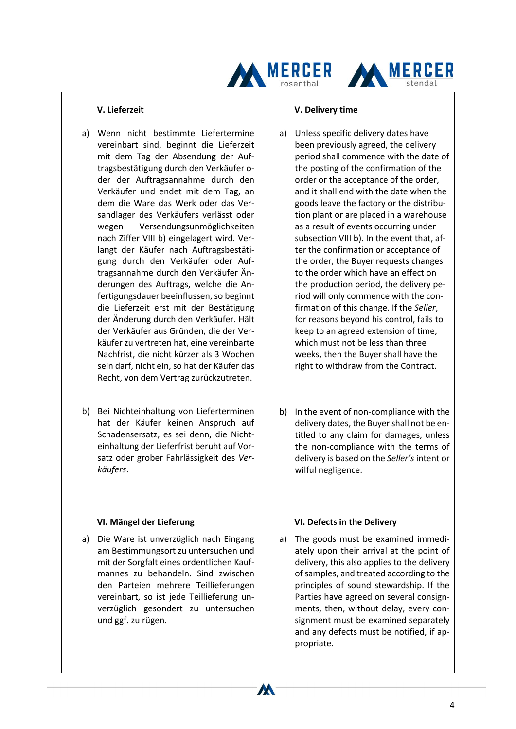



- a) Wenn nicht bestimmte Liefertermine vereinbart sind, beginnt die Lieferzeit mit dem Tag der Absendung der Auftragsbestätigung durch den Verkäufer oder der Auftragsannahme durch den Verkäufer und endet mit dem Tag, an dem die Ware das Werk oder das Versandlager des Verkäufers verlässt oder wegen Versendungsunmöglichkeiten nach Ziffer VIII b) eingelagert wird. Verlangt der Käufer nach Auftragsbestätigung durch den Verkäufer oder Auftragsannahme durch den Verkäufer Änderungen des Auftrags, welche die Anfertigungsdauer beeinflussen, so beginnt die Lieferzeit erst mit der Bestätigung der Änderung durch den Verkäufer. Hält der Verkäufer aus Gründen, die der Verkäufer zu vertreten hat, eine vereinbarte Nachfrist, die nicht kürzer als 3 Wochen sein darf, nicht ein, so hat der Käufer das Recht, von dem Vertrag zurückzutreten.
- b) Bei Nichteinhaltung von Lieferterminen hat der Käufer keinen Anspruch auf Schadensersatz, es sei denn, die Nichteinhaltung der Lieferfrist beruht auf Vorsatz oder grober Fahrlässigkeit des *Verkäufers*.

#### **VI. Mängel der Lieferung**

a) Die Ware ist unverzüglich nach Eingang am Bestimmungsort zu untersuchen und mit der Sorgfalt eines ordentlichen Kaufmannes zu behandeln. Sind zwischen den Parteien mehrere Teillieferungen vereinbart, so ist jede Teillieferung unverzüglich gesondert zu untersuchen und ggf. zu rügen.

#### **V. Delivery time**

- a) Unless specific delivery dates have been previously agreed, the delivery period shall commence with the date of the posting of the confirmation of the order or the acceptance of the order, and it shall end with the date when the goods leave the factory or the distribution plant or are placed in a warehouse as a result of events occurring under subsection VIII b). In the event that, after the confirmation or acceptance of the order, the Buyer requests changes to the order which have an effect on the production period, the delivery period will only commence with the confirmation of this change. If the *Seller*, for reasons beyond his control, fails to keep to an agreed extension of time, which must not be less than three weeks, then the Buyer shall have the right to withdraw from the Contract.
- b) In the event of non-compliance with the delivery dates, the Buyer shall not be entitled to any claim for damages, unless the non-compliance with the terms of delivery is based on the *Seller's* intent or wilful negligence.

## **VI. Defects in the Delivery**

W

a) The goods must be examined immediately upon their arrival at the point of delivery, this also applies to the delivery of samples, and treated according to the principles of sound stewardship. If the Parties have agreed on several consignments, then, without delay, every consignment must be examined separately and any defects must be notified, if appropriate.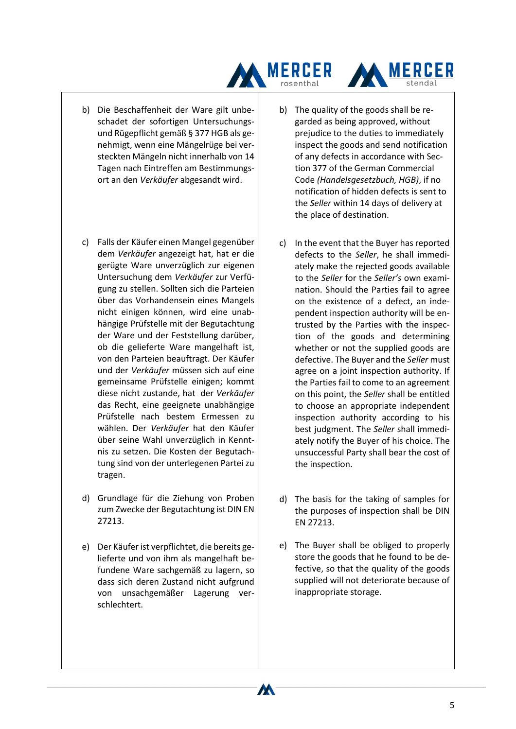



- c) Falls der Käufer einen Mangel gegenüber dem *Verkäufer* angezeigt hat, hat er die gerügte Ware unverzüglich zur eigenen Untersuchung dem *Verkäufer* zur Verfügung zu stellen. Sollten sich die Parteien über das Vorhandensein eines Mangels nicht einigen können, wird eine unabhängige Prüfstelle mit der Begutachtung der Ware und der Feststellung darüber, ob die gelieferte Ware mangelhaft ist, von den Parteien beauftragt. Der Käufer und der *Verkäufer* müssen sich auf eine gemeinsame Prüfstelle einigen; kommt diese nicht zustande, hat der *Verkäufer* das Recht, eine geeignete unabhängige Prüfstelle nach bestem Ermessen zu wählen. Der *Verkäufer* hat den Käufer über seine Wahl unverzüglich in Kenntnis zu setzen. Die Kosten der Begutachtung sind von der unterlegenen Partei zu tragen.
- d) Grundlage für die Ziehung von Proben zum Zwecke der Begutachtung ist DIN EN 27213.
- e) Der Käufer ist verpflichtet, die bereits gelieferte und von ihm als mangelhaft befundene Ware sachgemäß zu lagern, so dass sich deren Zustand nicht aufgrund von unsachgemäßer Lagerung verschlechtert.

b) The quality of the goods shall be regarded as being approved, without prejudice to the duties to immediately inspect the goods and send notification of any defects in accordance with Section 377 of the German Commercial Code *(Handelsgesetzbuch, HGB)*, if no notification of hidden defects is sent to the *Seller* within 14 days of delivery at the place of destination.

**MERCER** 

- c) In the event that the Buyer has reported defects to the *Seller*, he shall immediately make the rejected goods available to the *Seller* for the *Seller's* own examination. Should the Parties fail to agree on the existence of a defect, an independent inspection authority will be entrusted by the Parties with the inspection of the goods and determining whether or not the supplied goods are defective. The Buyer and the *Seller* must agree on a joint inspection authority. If the Parties fail to come to an agreement on this point, the *Seller* shall be entitled to choose an appropriate independent inspection authority according to his best judgment. The *Seller* shall immediately notify the Buyer of his choice. The unsuccessful Party shall bear the cost of the inspection.
- d) The basis for the taking of samples for the purposes of inspection shall be DIN EN 27213.
- e) The Buyer shall be obliged to properly store the goods that he found to be defective, so that the quality of the goods supplied will not deteriorate because of inappropriate storage.

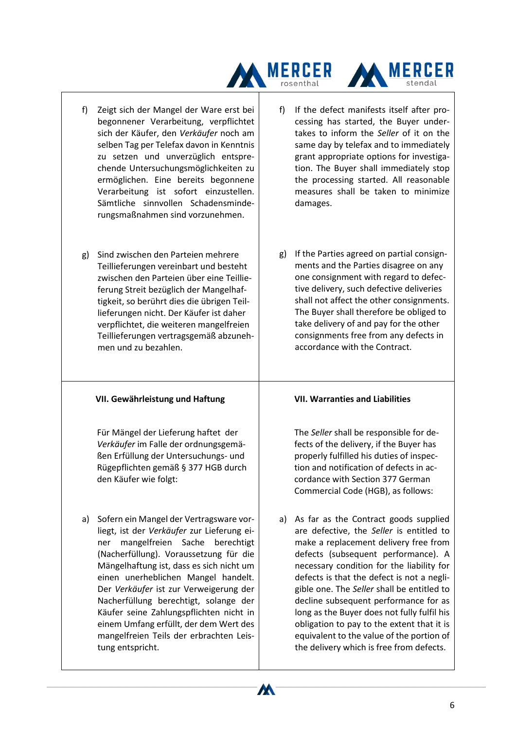

- f) Zeigt sich der Mangel der Ware erst bei begonnener Verarbeitung, verpflichtet sich der Käufer, den *Verkäufer* noch am selben Tag per Telefax davon in Kenntnis zu setzen und unverzüglich entsprechende Untersuchungsmöglichkeiten zu ermöglichen. Eine bereits begonnene Verarbeitung ist sofort einzustellen. Sämtliche sinnvollen Schadensminderungsmaßnahmen sind vorzunehmen.
- g) Sind zwischen den Parteien mehrere Teillieferungen vereinbart und besteht zwischen den Parteien über eine Teillieferung Streit bezüglich der Mangelhaftigkeit, so berührt dies die übrigen Teillieferungen nicht. Der Käufer ist daher verpflichtet, die weiteren mangelfreien Teillieferungen vertragsgemäß abzunehmen und zu bezahlen.

## **VII. Gewährleistung und Haftung**

Für Mängel der Lieferung haftet der *Verkäufer* im Falle der ordnungsgemäßen Erfüllung der Untersuchungs- und Rügepflichten gemäß § 377 HGB durch den Käufer wie folgt:

a) Sofern ein Mangel der Vertragsware vorliegt, ist der *Verkäufer* zur Lieferung einer mangelfreien Sache berechtigt (Nacherfüllung). Voraussetzung für die Mängelhaftung ist, dass es sich nicht um einen unerheblichen Mangel handelt. Der *Verkäufer* ist zur Verweigerung der Nacherfüllung berechtigt, solange der Käufer seine Zahlungspflichten nicht in einem Umfang erfüllt, der dem Wert des mangelfreien Teils der erbrachten Leistung entspricht.

f) If the defect manifests itself after processing has started, the Buyer undertakes to inform the *Seller* of it on the same day by telefax and to immediately grant appropriate options for investigation. The Buyer shall immediately stop the processing started. All reasonable measures shall be taken to minimize damages.

**MERCER** 

g) If the Parties agreed on partial consignments and the Parties disagree on any one consignment with regard to defective delivery, such defective deliveries shall not affect the other consignments. The Buyer shall therefore be obliged to take delivery of and pay for the other consignments free from any defects in accordance with the Contract.

## **VII. Warranties and Liabilities**

The *Seller* shall be responsible for defects of the delivery, if the Buyer has properly fulfilled his duties of inspection and notification of defects in accordance with Section 377 German Commercial Code (HGB), as follows:

a) As far as the Contract goods supplied are defective, the *Seller* is entitled to make a replacement delivery free from defects (subsequent performance). A necessary condition for the liability for defects is that the defect is not a negligible one. The *Seller* shall be entitled to decline subsequent performance for as long as the Buyer does not fully fulfil his obligation to pay to the extent that it is equivalent to the value of the portion of the delivery which is free from defects.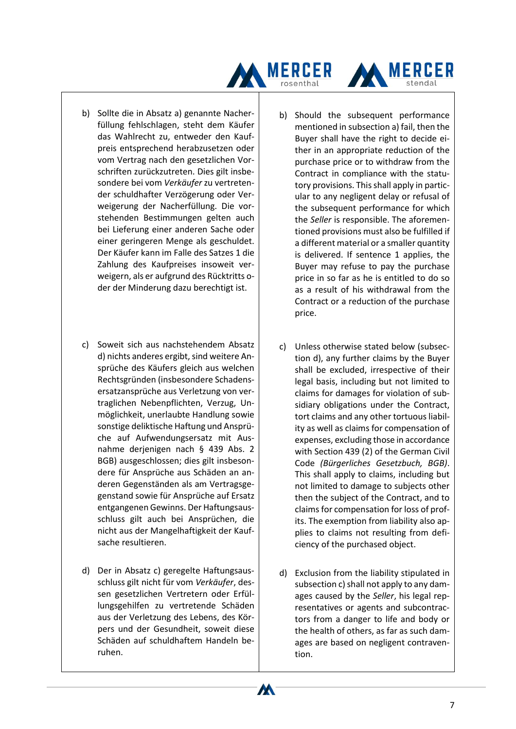

- b) Sollte die in Absatz a) genannte Nacherfüllung fehlschlagen, steht dem Käufer das Wahlrecht zu, entweder den Kaufpreis entsprechend herabzusetzen oder vom Vertrag nach den gesetzlichen Vorschriften zurückzutreten. Dies gilt insbesondere bei vom *Verkäufer* zu vertretender schuldhafter Verzögerung oder Verweigerung der Nacherfüllung. Die vorstehenden Bestimmungen gelten auch bei Lieferung einer anderen Sache oder einer geringeren Menge als geschuldet. Der Käufer kann im Falle des Satzes 1 die Zahlung des Kaufpreises insoweit verweigern, als er aufgrund des Rücktritts oder der Minderung dazu berechtigt ist.
- c) Soweit sich aus nachstehendem Absatz d) nichts anderes ergibt, sind weitere Ansprüche des Käufers gleich aus welchen Rechtsgründen (insbesondere Schadensersatzansprüche aus Verletzung von vertraglichen Nebenpflichten, Verzug, Unmöglichkeit, unerlaubte Handlung sowie sonstige deliktische Haftung und Ansprüche auf Aufwendungsersatz mit Ausnahme derjenigen nach § 439 Abs. 2 BGB) ausgeschlossen; dies gilt insbesondere für Ansprüche aus Schäden an anderen Gegenständen als am Vertragsgegenstand sowie für Ansprüche auf Ersatz entgangenen Gewinns. Der Haftungsausschluss gilt auch bei Ansprüchen, die nicht aus der Mangelhaftigkeit der Kaufsache resultieren.
- d) Der in Absatz c) geregelte Haftungsausschluss gilt nicht für vom *Verkäufer*, dessen gesetzlichen Vertretern oder Erfüllungsgehilfen zu vertretende Schäden aus der Verletzung des Lebens, des Körpers und der Gesundheit, soweit diese Schäden auf schuldhaftem Handeln beruhen.

b) Should the subsequent performance mentioned in subsection a) fail, then the Buyer shall have the right to decide either in an appropriate reduction of the purchase price or to withdraw from the Contract in compliance with the statutory provisions. This shall apply in particular to any negligent delay or refusal of the subsequent performance for which the *Seller* is responsible. The aforementioned provisions must also be fulfilled if a different material or a smaller quantity is delivered. If sentence 1 applies, the Buyer may refuse to pay the purchase price in so far as he is entitled to do so as a result of his withdrawal from the Contract or a reduction of the purchase price.

MERCER

- c) Unless otherwise stated below (subsection d), any further claims by the Buyer shall be excluded, irrespective of their legal basis, including but not limited to claims for damages for violation of subsidiary obligations under the Contract, tort claims and any other tortuous liability as well as claims for compensation of expenses, excluding those in accordance with Section 439 (2) of the German Civil Code *(Bürgerliches Gesetzbuch, BGB)*. This shall apply to claims, including but not limited to damage to subjects other then the subject of the Contract, and to claims for compensation for loss of profits. The exemption from liability also applies to claims not resulting from deficiency of the purchased object.
- d) Exclusion from the liability stipulated in subsection c) shall not apply to any damages caused by the *Seller*, his legal representatives or agents and subcontractors from a danger to life and body or the health of others, as far as such damages are based on negligent contravention.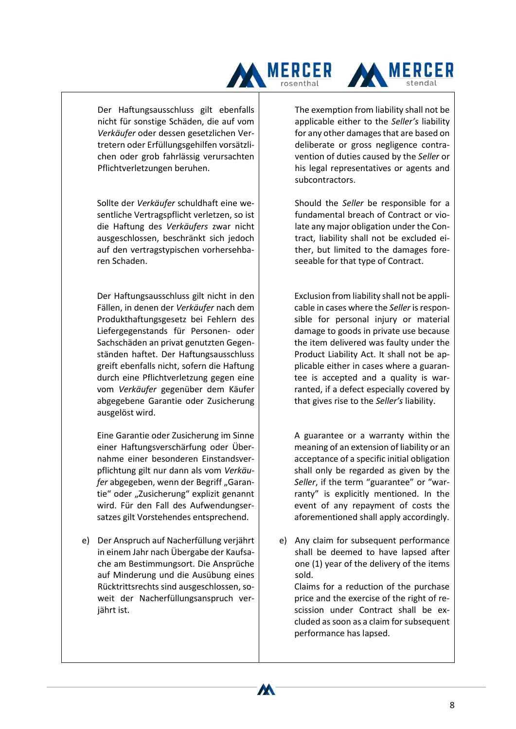

Der Haftungsausschluss gilt ebenfalls nicht für sonstige Schäden, die auf vom *Verkäufer* oder dessen gesetzlichen Vertretern oder Erfüllungsgehilfen vorsätzlichen oder grob fahrlässig verursachten Pflichtverletzungen beruhen.

Sollte der *Verkäufer* schuldhaft eine wesentliche Vertragspflicht verletzen, so ist die Haftung des *Verkäufers* zwar nicht ausgeschlossen, beschränkt sich jedoch auf den vertragstypischen vorhersehbaren Schaden.

Der Haftungsausschluss gilt nicht in den Fällen, in denen der *Verkäufer* nach dem Produkthaftungsgesetz bei Fehlern des Liefergegenstands für Personen- oder Sachschäden an privat genutzten Gegenständen haftet. Der Haftungsausschluss greift ebenfalls nicht, sofern die Haftung durch eine Pflichtverletzung gegen eine vom *Verkäufer* gegenüber dem Käufer abgegebene Garantie oder Zusicherung ausgelöst wird.

Eine Garantie oder Zusicherung im Sinne einer Haftungsverschärfung oder Übernahme einer besonderen Einstandsverpflichtung gilt nur dann als vom *Verkäufer* abgegeben, wenn der Begriff, Garantie" oder "Zusicherung" explizit genannt wird. Für den Fall des Aufwendungsersatzes gilt Vorstehendes entsprechend.

e) Der Anspruch auf Nacherfüllung verjährt in einem Jahr nach Übergabe der Kaufsache am Bestimmungsort. Die Ansprüche auf Minderung und die Ausübung eines Rücktrittsrechts sind ausgeschlossen, soweit der Nacherfüllungsanspruch verjährt ist.

The exemption from liability shall not be applicable either to the *Seller's* liability for any other damages that are based on deliberate or gross negligence contravention of duties caused by the *Seller* or his legal representatives or agents and subcontractors.

Should the *Seller* be responsible for a fundamental breach of Contract or violate any major obligation under the Contract, liability shall not be excluded either, but limited to the damages foreseeable for that type of Contract.

Exclusion from liability shall not be applicable in cases where the *Seller* is responsible for personal injury or material damage to goods in private use because the item delivered was faulty under the Product Liability Act. It shall not be applicable either in cases where a guarantee is accepted and a quality is warranted, if a defect especially covered by that gives rise to the *Seller's* liability.

A guarantee or a warranty within the meaning of an extension of liability or an acceptance of a specific initial obligation shall only be regarded as given by the *Seller*, if the term "guarantee" or "warranty" is explicitly mentioned. In the event of any repayment of costs the aforementioned shall apply accordingly.

e) Any claim for subsequent performance shall be deemed to have lapsed after one (1) year of the delivery of the items sold.

Claims for a reduction of the purchase price and the exercise of the right of rescission under Contract shall be excluded assoon as a claim for subsequent performance has lapsed.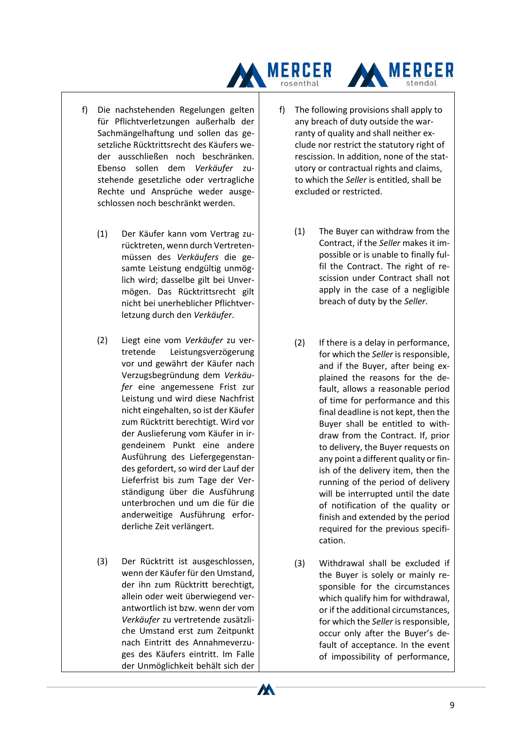

- f) Die nachstehenden Regelungen gelten für Pflichtverletzungen außerhalb der Sachmängelhaftung und sollen das gesetzliche Rücktrittsrecht des Käufers weder ausschließen noch beschränken. Ebenso sollen dem *Verkäufer* zustehende gesetzliche oder vertragliche Rechte und Ansprüche weder ausgeschlossen noch beschränkt werden.
	- (1) Der Käufer kann vom Vertrag zurücktreten, wenn durch Vertretenmüssen des *Verkäufers* die gesamte Leistung endgültig unmöglich wird; dasselbe gilt bei Unvermögen. Das Rücktrittsrecht gilt nicht bei unerheblicher Pflichtverletzung durch den *Verkäufer*.
	- (2) Liegt eine vom *Verkäufer* zu vertretende Leistungsverzögerung vor und gewährt der Käufer nach Verzugsbegründung dem *Verkäufer* eine angemessene Frist zur Leistung und wird diese Nachfrist nicht eingehalten, so ist der Käufer zum Rücktritt berechtigt. Wird vor der Auslieferung vom Käufer in irgendeinem Punkt eine andere Ausführung des Liefergegenstandes gefordert, so wird der Lauf der Lieferfrist bis zum Tage der Verständigung über die Ausführung unterbrochen und um die für die anderweitige Ausführung erforderliche Zeit verlängert.
	- (3) Der Rücktritt ist ausgeschlossen, wenn der Käufer für den Umstand, der ihn zum Rücktritt berechtigt, allein oder weit überwiegend verantwortlich ist bzw. wenn der vom *Verkäufer* zu vertretende zusätzliche Umstand erst zum Zeitpunkt nach Eintritt des Annahmeverzuges des Käufers eintritt. Im Falle der Unmöglichkeit behält sich der

- f) The following provisions shall apply to any breach of duty outside the warranty of quality and shall neither exclude nor restrict the statutory right of rescission. In addition, none of the statutory or contractual rights and claims, to which the *Seller* is entitled, shall be excluded or restricted.
	- (1) The Buyer can withdraw from the Contract, if the *Seller* makes it impossible or is unable to finally fulfil the Contract. The right of rescission under Contract shall not apply in the case of a negligible breach of duty by the *Seller*.
	- (2) If there is a delay in performance, for which the *Seller* is responsible, and if the Buyer, after being explained the reasons for the default, allows a reasonable period of time for performance and this final deadline is not kept, then the Buyer shall be entitled to withdraw from the Contract. If, prior to delivery, the Buyer requests on any point a different quality or finish of the delivery item, then the running of the period of delivery will be interrupted until the date of notification of the quality or finish and extended by the period required for the previous specification.
	- (3) Withdrawal shall be excluded if the Buyer is solely or mainly responsible for the circumstances which qualify him for withdrawal, or if the additional circumstances, for which the *Seller* is responsible, occur only after the Buyer's default of acceptance. In the event of impossibility of performance,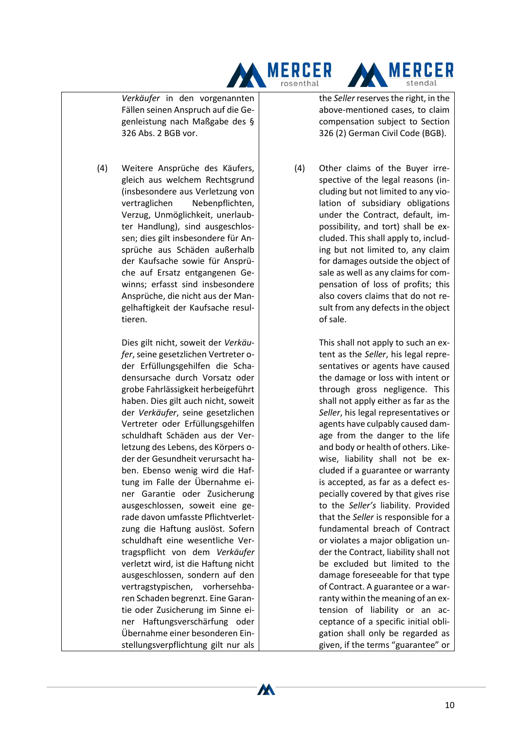



*Verkäufer* in den vorgenannten Fällen seinen Anspruch auf die Gegenleistung nach Maßgabe des § 326 Abs. 2 BGB vor.

(4) Weitere Ansprüche des Käufers, gleich aus welchem Rechtsgrund (insbesondere aus Verletzung von vertraglichen Nebenpflichten, Verzug, Unmöglichkeit, unerlaubter Handlung), sind ausgeschlossen; dies gilt insbesondere für Ansprüche aus Schäden außerhalb der Kaufsache sowie für Ansprüche auf Ersatz entgangenen Gewinns; erfasst sind insbesondere Ansprüche, die nicht aus der Mangelhaftigkeit der Kaufsache resultieren.

> Dies gilt nicht, soweit der *Verkäufer*, seine gesetzlichen Vertreter oder Erfüllungsgehilfen die Schadensursache durch Vorsatz oder grobe Fahrlässigkeit herbeigeführt haben. Dies gilt auch nicht, soweit der *Verkäufer*, seine gesetzlichen Vertreter oder Erfüllungsgehilfen schuldhaft Schäden aus der Verletzung des Lebens, des Körpers oder der Gesundheit verursacht haben. Ebenso wenig wird die Haftung im Falle der Übernahme einer Garantie oder Zusicherung ausgeschlossen, soweit eine gerade davon umfasste Pflichtverletzung die Haftung auslöst. Sofern schuldhaft eine wesentliche Vertragspflicht von dem *Verkäufer* verletzt wird, ist die Haftung nicht ausgeschlossen, sondern auf den vertragstypischen, vorhersehbaren Schaden begrenzt. Eine Garantie oder Zusicherung im Sinne einer Haftungsverschärfung oder Übernahme einer besonderen Einstellungsverpflichtung gilt nur als

> > W

the *Seller* reserves the right, in the above-mentioned cases, to claim compensation subject to Section 326 (2) German Civil Code (BGB).

(4) Other claims of the Buyer irrespective of the legal reasons (including but not limited to any violation of subsidiary obligations under the Contract, default, impossibility, and tort) shall be excluded. This shall apply to, including but not limited to, any claim for damages outside the object of sale as well as any claims for compensation of loss of profits; this also covers claims that do not result from any defects in the object of sale.

> This shall not apply to such an extent as the *Seller*, his legal representatives or agents have caused the damage or loss with intent or through gross negligence. This shall not apply either as far as the *Seller*, his legal representatives or agents have culpably caused damage from the danger to the life and body or health of others. Likewise, liability shall not be excluded if a guarantee or warranty is accepted, as far as a defect especially covered by that gives rise to the *Seller's* liability. Provided that the *Seller* is responsible for a fundamental breach of Contract or violates a major obligation under the Contract, liability shall not be excluded but limited to the damage foreseeable for that type of Contract. A guarantee or a warranty within the meaning of an extension of liability or an acceptance of a specific initial obligation shall only be regarded as given, if the terms "guarantee" or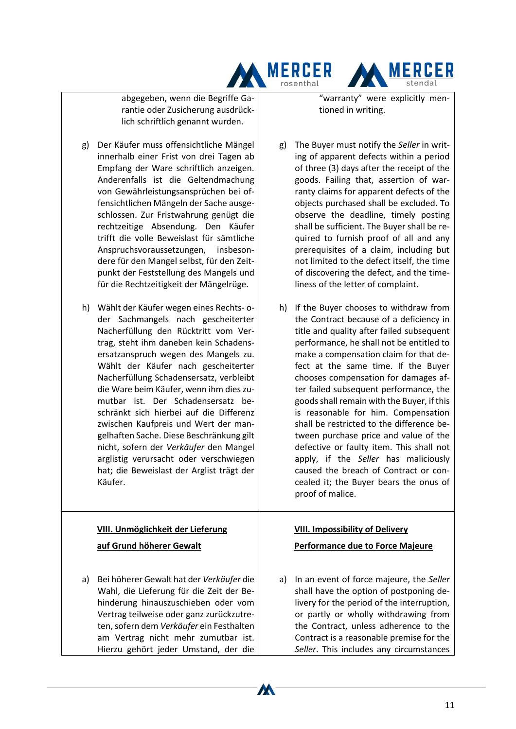abgegeben, wenn die Begriffe Garantie oder Zusicherung ausdrücklich schriftlich genannt wurden.

- g) Der Käufer muss offensichtliche Mängel innerhalb einer Frist von drei Tagen ab Empfang der Ware schriftlich anzeigen. Anderenfalls ist die Geltendmachung von Gewährleistungsansprüchen bei offensichtlichen Mängeln der Sache ausgeschlossen. Zur Fristwahrung genügt die rechtzeitige Absendung. Den Käufer trifft die volle Beweislast für sämtliche Anspruchsvoraussetzungen, insbesondere für den Mangel selbst, für den Zeitpunkt der Feststellung des Mangels und für die Rechtzeitigkeit der Mängelrüge.
- h) Wählt der Käufer wegen eines Rechts- oder Sachmangels nach gescheiterter Nacherfüllung den Rücktritt vom Vertrag, steht ihm daneben kein Schadensersatzanspruch wegen des Mangels zu. Wählt der Käufer nach gescheiterter Nacherfüllung Schadensersatz, verbleibt die Ware beim Käufer, wenn ihm dies zumutbar ist. Der Schadensersatz beschränkt sich hierbei auf die Differenz zwischen Kaufpreis und Wert der mangelhaften Sache. Diese Beschränkung gilt nicht, sofern der *Verkäufer* den Mangel arglistig verursacht oder verschwiegen hat; die Beweislast der Arglist trägt der Käufer.

## **VIII. Unmöglichkeit der Lieferung**

#### **auf Grund höherer Gewalt**

a) Bei höherer Gewalt hat der *Verkäufer* die Wahl, die Lieferung für die Zeit der Behinderung hinauszuschieben oder vom Vertrag teilweise oder ganz zurückzutreten, sofern dem *Verkäufer* ein Festhalten am Vertrag nicht mehr zumutbar ist. Hierzu gehört jeder Umstand, der die

W

"warranty" were explicitly mentioned in writing.

**MERCER** 

stendal

**MERCER** 

rosenthal

- g) The Buyer must notify the *Seller* in writing of apparent defects within a period of three (3) days after the receipt of the goods. Failing that, assertion of warranty claims for apparent defects of the objects purchased shall be excluded. To observe the deadline, timely posting shall be sufficient. The Buyer shall be required to furnish proof of all and any prerequisites of a claim, including but not limited to the defect itself, the time of discovering the defect, and the timeliness of the letter of complaint.
- h) If the Buyer chooses to withdraw from the Contract because of a deficiency in title and quality after failed subsequent performance, he shall not be entitled to make a compensation claim for that defect at the same time. If the Buyer chooses compensation for damages after failed subsequent performance, the goods shall remain with the Buyer, if this is reasonable for him. Compensation shall be restricted to the difference between purchase price and value of the defective or faulty item. This shall not apply, if the *Seller* has maliciously caused the breach of Contract or concealed it; the Buyer bears the onus of proof of malice.

## **VIII. Impossibility of Delivery**

#### **Performance due to Force Majeure**

a) In an event of force majeure, the *Seller* shall have the option of postponing delivery for the period of the interruption, or partly or wholly withdrawing from the Contract, unless adherence to the Contract is a reasonable premise for the *Seller*. This includes any circumstances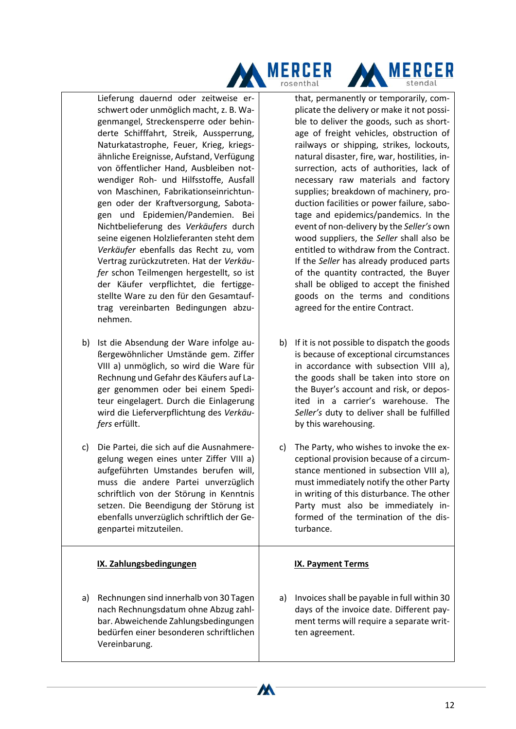



Lieferung dauernd oder zeitweise erschwert oder unmöglich macht, z. B. Wagenmangel, Streckensperre oder behinderte Schifffahrt, Streik, Aussperrung, Naturkatastrophe, Feuer, Krieg, kriegsähnliche Ereignisse, Aufstand, Verfügung von öffentlicher Hand, Ausbleiben notwendiger Roh- und Hilfsstoffe, Ausfall von Maschinen, Fabrikationseinrichtungen oder der Kraftversorgung, Sabotagen und Epidemien/Pandemien. Bei Nichtbelieferung des *Verkäufers* durch seine eigenen Holzlieferanten steht dem *Verkäufer* ebenfalls das Recht zu, vom Vertrag zurückzutreten. Hat der *Verkäufer* schon Teilmengen hergestellt, so ist der Käufer verpflichtet, die fertiggestellte Ware zu den für den Gesamtauftrag vereinbarten Bedingungen abzunehmen.

- b) Ist die Absendung der Ware infolge außergewöhnlicher Umstände gem. Ziffer VIII a) unmöglich, so wird die Ware für Rechnung und Gefahr des Käufers auf Lager genommen oder bei einem Spediteur eingelagert. Durch die Einlagerung wird die Lieferverpflichtung des *Verkäufers* erfüllt.
- c) Die Partei, die sich auf die Ausnahmeregelung wegen eines unter Ziffer VIII a) aufgeführten Umstandes berufen will, muss die andere Partei unverzüglich schriftlich von der Störung in Kenntnis setzen. Die Beendigung der Störung ist ebenfalls unverzüglich schriftlich der Gegenpartei mitzuteilen.

## **IX. Zahlungsbedingungen**

a) Rechnungen sind innerhalb von 30 Tagen nach Rechnungsdatum ohne Abzug zahlbar. Abweichende Zahlungsbedingungen bedürfen einer besonderen schriftlichen Vereinbarung.

that, permanently or temporarily, complicate the delivery or make it not possible to deliver the goods, such as shortage of freight vehicles, obstruction of railways or shipping, strikes, lockouts, natural disaster, fire, war, hostilities, insurrection, acts of authorities, lack of necessary raw materials and factory supplies; breakdown of machinery, production facilities or power failure, sabotage and epidemics/pandemics. In the event of non-delivery by the *Seller's* own wood suppliers, the *Seller* shall also be entitled to withdraw from the Contract. If the *Seller* has already produced parts of the quantity contracted, the Buyer shall be obliged to accept the finished goods on the terms and conditions agreed for the entire Contract.

- b) If it is not possible to dispatch the goods is because of exceptional circumstances in accordance with subsection VIII a), the goods shall be taken into store on the Buyer's account and risk, or deposited in a carrier's warehouse. The *Seller's* duty to deliver shall be fulfilled by this warehousing.
- c) The Party, who wishes to invoke the exceptional provision because of a circumstance mentioned in subsection VIII a), must immediately notify the other Party in writing of this disturbance. The other Party must also be immediately informed of the termination of the disturbance.

## **IX. Payment Terms**

W

a) Invoices shall be payable in full within 30 days of the invoice date. Different payment terms will require a separate written agreement.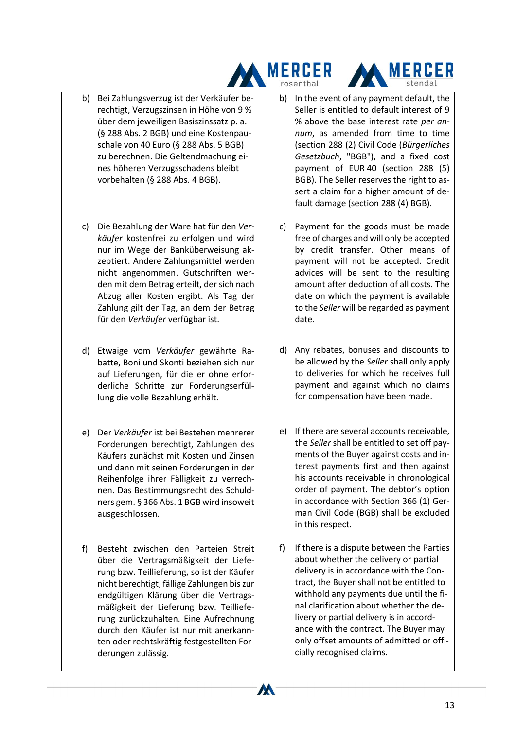

- b) Bei Zahlungsverzug ist der Verkäufer berechtigt, Verzugszinsen in Höhe von 9 % über dem jeweiligen Basiszinssatz p. a. (§ 288 Abs. 2 BGB) und eine Kostenpauschale von 40 Euro (§ 288 Abs. 5 BGB) zu berechnen. Die Geltendmachung eines höheren Verzugsschadens bleibt vorbehalten (§ 288 Abs. 4 BGB).
- c) Die Bezahlung der Ware hat für den *Verkäufer* kostenfrei zu erfolgen und wird nur im Wege der Banküberweisung akzeptiert. Andere Zahlungsmittel werden nicht angenommen. Gutschriften werden mit dem Betrag erteilt, der sich nach Abzug aller Kosten ergibt. Als Tag der Zahlung gilt der Tag, an dem der Betrag für den *Verkäufer* verfügbar ist.
- d) Etwaige vom *Verkäufer* gewährte Rabatte, Boni und Skonti beziehen sich nur auf Lieferungen, für die er ohne erforderliche Schritte zur Forderungserfüllung die volle Bezahlung erhält.
- e) Der *Verkäufer* ist bei Bestehen mehrerer Forderungen berechtigt, Zahlungen des Käufers zunächst mit Kosten und Zinsen und dann mit seinen Forderungen in der Reihenfolge ihrer Fälligkeit zu verrechnen. Das Bestimmungsrecht des Schuldners gem. § 366 Abs. 1 BGB wird insoweit ausgeschlossen.
- f) Besteht zwischen den Parteien Streit über die Vertragsmäßigkeit der Lieferung bzw. Teillieferung, so ist der Käufer nicht berechtigt, fällige Zahlungen bis zur endgültigen Klärung über die Vertragsmäßigkeit der Lieferung bzw. Teillieferung zurückzuhalten. Eine Aufrechnung durch den Käufer ist nur mit anerkannten oder rechtskräftig festgestellten Forderungen zulässig.

b) In the event of any payment default, the Seller is entitled to default interest of 9 % above the base interest rate *per annum*, as amended from time to time (section 288 (2) Civil Code (*Bürgerliches Gesetzbuch*, "BGB"), and a fixed cost payment of EUR 40 (section 288 (5) BGB). The Seller reserves the right to assert a claim for a higher amount of default damage (section 288 (4) BGB).

**MERCER** 

- c) Payment for the goods must be made free of charges and will only be accepted by credit transfer. Other means of payment will not be accepted. Credit advices will be sent to the resulting amount after deduction of all costs. The date on which the payment is available to the *Seller* will be regarded as payment date.
- d) Any rebates, bonuses and discounts to be allowed by the *Seller* shall only apply to deliveries for which he receives full payment and against which no claims for compensation have been made.
- e) If there are several accounts receivable, the *Seller* shall be entitled to set off payments of the Buyer against costs and interest payments first and then against his accounts receivable in chronological order of payment. The debtor's option in accordance with Section 366 (1) German Civil Code (BGB) shall be excluded in this respect.
- f) If there is a dispute between the Parties about whether the delivery or partial delivery is in accordance with the Contract, the Buyer shall not be entitled to withhold any payments due until the final clarification about whether the delivery or partial delivery is in accordance with the contract. The Buyer may only offset amounts of admitted or officially recognised claims.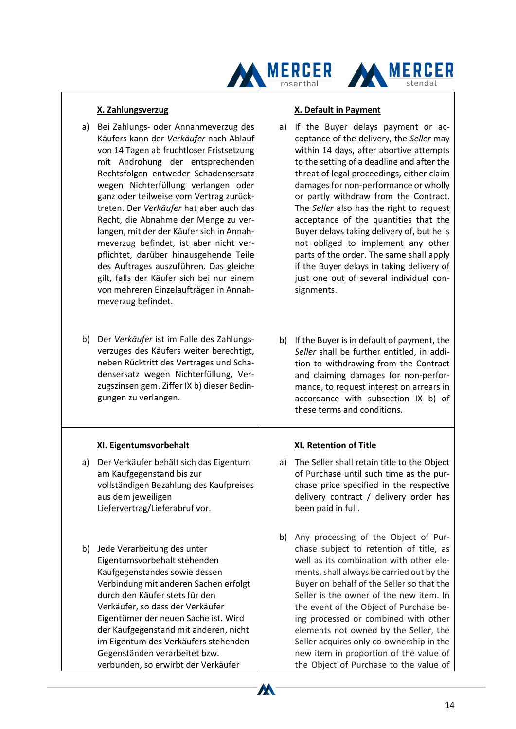



#### **X. Zahlungsverzug**

- a) Bei Zahlungs- oder Annahmeverzug des Käufers kann der *Verkäufer* nach Ablauf von 14 Tagen ab fruchtloser Fristsetzung mit Androhung der entsprechenden Rechtsfolgen entweder Schadensersatz wegen Nichterfüllung verlangen oder ganz oder teilweise vom Vertrag zurücktreten. Der *Verkäufer* hat aber auch das Recht, die Abnahme der Menge zu verlangen, mit der der Käufer sich in Annahmeverzug befindet, ist aber nicht verpflichtet, darüber hinausgehende Teile des Auftrages auszuführen. Das gleiche gilt, falls der Käufer sich bei nur einem von mehreren Einzelaufträgen in Annahmeverzug befindet.
- b) Der *Verkäufer* ist im Falle des Zahlungsverzuges des Käufers weiter berechtigt, neben Rücktritt des Vertrages und Schadensersatz wegen Nichterfüllung, Verzugszinsen gem. Ziffer IX b) dieser Bedingungen zu verlangen.

## **XI. Eigentumsvorbehalt**

- a) Der Verkäufer behält sich das Eigentum am Kaufgegenstand bis zur vollständigen Bezahlung des Kaufpreises aus dem jeweiligen Liefervertrag/Lieferabruf vor.
- b) Jede Verarbeitung des unter Eigentumsvorbehalt stehenden Kaufgegenstandes sowie dessen Verbindung mit anderen Sachen erfolgt durch den Käufer stets für den Verkäufer, so dass der Verkäufer Eigentümer der neuen Sache ist. Wird der Kaufgegenstand mit anderen, nicht im Eigentum des Verkäufers stehenden Gegenständen verarbeitet bzw. verbunden, so erwirbt der Verkäufer

#### **X. Default in Payment**

- a) If the Buyer delays payment or acceptance of the delivery, the *Seller* may within 14 days, after abortive attempts to the setting of a deadline and after the threat of legal proceedings, either claim damages for non-performance or wholly or partly withdraw from the Contract. The *Seller* also has the right to request acceptance of the quantities that the Buyer delays taking delivery of, but he is not obliged to implement any other parts of the order. The same shall apply if the Buyer delays in taking delivery of just one out of several individual consignments.
- b) If the Buyer is in default of payment, the *Seller* shall be further entitled, in addition to withdrawing from the Contract and claiming damages for non-performance, to request interest on arrears in accordance with subsection IX b) of these terms and conditions.

## **XI. Retention of Title**

- a) The Seller shall retain title to the Object of Purchase until such time as the purchase price specified in the respective delivery contract / delivery order has been paid in full.
- b) Any processing of the Object of Purchase subject to retention of title, as well as its combination with other elements, shall always be carried out by the Buyer on behalf of the Seller so that the Seller is the owner of the new item. In the event of the Object of Purchase being processed or combined with other elements not owned by the Seller, the Seller acquires only co-ownership in the new item in proportion of the value of the Object of Purchase to the value of

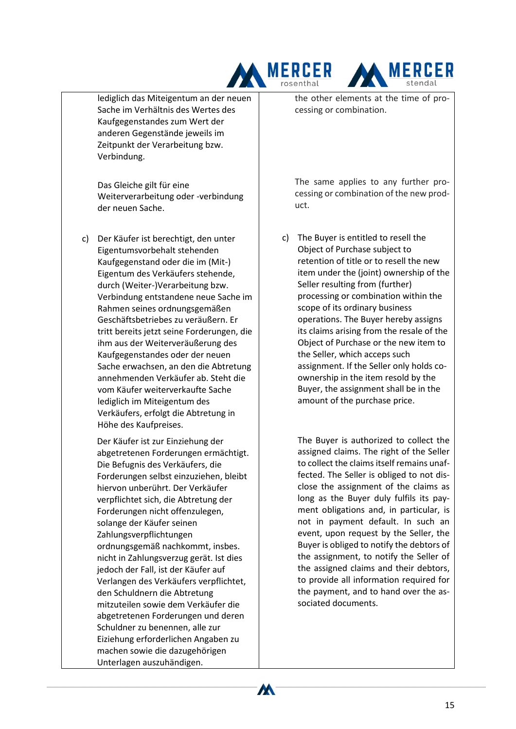



lediglich das Miteigentum an der neuen Sache im Verhältnis des Wertes des Kaufgegenstandes zum Wert der anderen Gegenstände jeweils im Zeitpunkt der Verarbeitung bzw. Verbindung.

Das Gleiche gilt für eine Weiterverarbeitung oder -verbindung der neuen Sache.

c) Der Käufer ist berechtigt, den unter Eigentumsvorbehalt stehenden Kaufgegenstand oder die im (Mit-) Eigentum des Verkäufers stehende, durch (Weiter-)Verarbeitung bzw. Verbindung entstandene neue Sache im Rahmen seines ordnungsgemäßen Geschäftsbetriebes zu veräußern. Er tritt bereits jetzt seine Forderungen, die ihm aus der Weiterveräußerung des Kaufgegenstandes oder der neuen Sache erwachsen, an den die Abtretung annehmenden Verkäufer ab. Steht die vom Käufer weiterverkaufte Sache lediglich im Miteigentum des Verkäufers, erfolgt die Abtretung in Höhe des Kaufpreises.

Der Käufer ist zur Einziehung der abgetretenen Forderungen ermächtigt. Die Befugnis des Verkäufers, die Forderungen selbst einzuziehen, bleibt hiervon unberührt. Der Verkäufer verpflichtet sich, die Abtretung der Forderungen nicht offenzulegen, solange der Käufer seinen Zahlungsverpflichtungen ordnungsgemäß nachkommt, insbes. nicht in Zahlungsverzug gerät. Ist dies jedoch der Fall, ist der Käufer auf Verlangen des Verkäufers verpflichtet, den Schuldnern die Abtretung mitzuteilen sowie dem Verkäufer die abgetretenen Forderungen und deren Schuldner zu benennen, alle zur Eiziehung erforderlichen Angaben zu machen sowie die dazugehörigen Unterlagen auszuhändigen.

the other elements at the time of processing or combination.

The same applies to any further processing or combination of the new product.

c) The Buyer is entitled to resell the Object of Purchase subject to retention of title or to resell the new item under the (joint) ownership of the Seller resulting from (further) processing or combination within the scope of its ordinary business operations. The Buyer hereby assigns its claims arising from the resale of the Object of Purchase or the new item to the Seller, which acceps such assignment. If the Seller only holds coownership in the item resold by the Buyer, the assignment shall be in the amount of the purchase price.

The Buyer is authorized to collect the assigned claims. The right of the Seller to collect the claims itself remains unaffected. The Seller is obliged to not disclose the assignment of the claims as long as the Buyer duly fulfils its payment obligations and, in particular, is not in payment default. In such an event, upon request by the Seller, the Buyer is obliged to notify the debtors of the assignment, to notify the Seller of the assigned claims and their debtors, to provide all information required for the payment, and to hand over the associated documents.

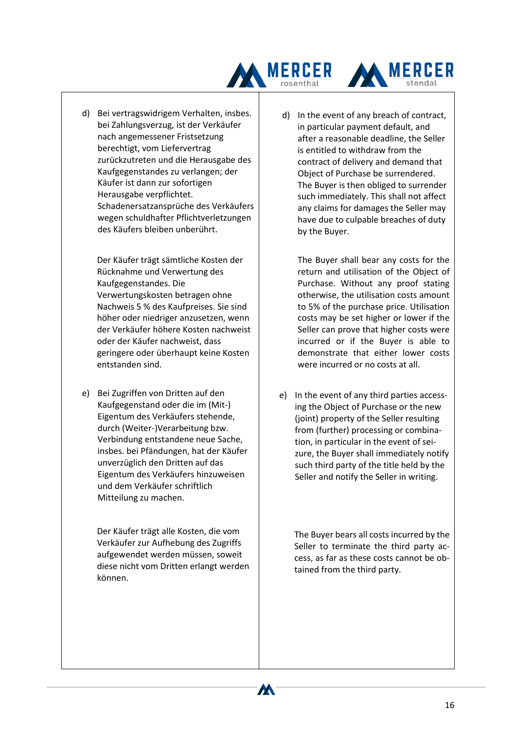



Der Käufer trägt sämtliche Kosten der Rücknahme und Verwertung des Kaufgegenstandes. Die Verwertungskosten betragen ohne Nachweis 5 % des Kaufpreises. Sie sind höher oder niedriger anzusetzen, wenn der Verkäufer höhere Kosten nachweist oder der Käufer nachweist, dass geringere oder überhaupt keine Kosten entstanden sind.

e) Bei Zugriffen von Dritten auf den Kaufgegenstand oder die im (Mit-) Eigentum des Verkäufers stehende, durch (Weiter-)Verarbeitung bzw. Verbindung entstandene neue Sache, insbes. bei Pfändungen, hat der Käufer unverzüglich den Dritten auf das Eigentum des Verkäufers hinzuweisen und dem Verkäufer schriftlich Mitteilung zu machen.

Der Käufer trägt alle Kosten, die vom Verkäufer zur Aufhebung des Zugriffs aufgewendet werden müssen, soweit diese nicht vom Dritten erlangt werden können.

M

d) In the event of any breach of contract, in particular payment default, and after a reasonable deadline, the Seller is entitled to withdraw from the contract of delivery and demand that Object of Purchase be surrendered. The Buyer is then obliged to surrender such immediately. This shall not affect any claims for damages the Seller may have due to culpable breaches of duty by the Buyer.

**MERCER** 

The Buyer shall bear any costs for the return and utilisation of the Object of Purchase. Without any proof stating otherwise, the utilisation costs amount to 5% of the purchase price. Utilisation costs may be set higher or lower if the Seller can prove that higher costs were incurred or if the Buyer is able to demonstrate that either lower costs were incurred or no costs at all.

e) In the event of any third parties accessing the Object of Purchase or the new (joint) property of the Seller resulting from (further) processing or combination, in particular in the event of seizure, the Buyer shall immediately notify such third party of the title held by the Seller and notify the Seller in writing.

The Buyer bears all costs incurred by the Seller to terminate the third party access, as far as these costs cannot be obtained from the third party.

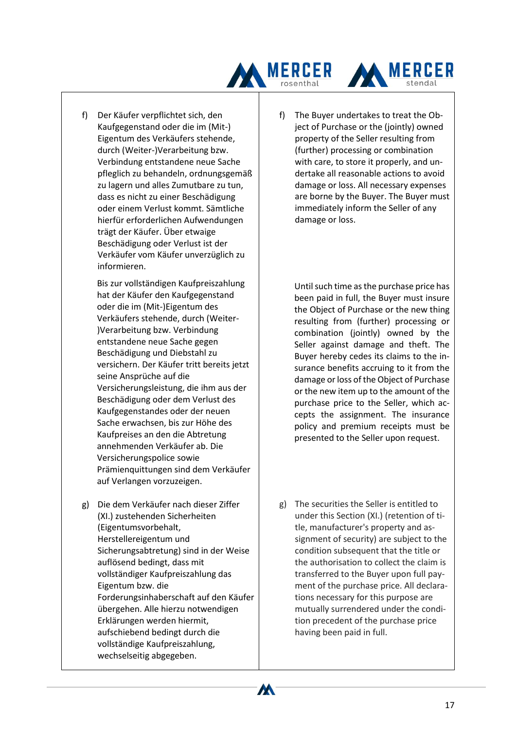



Bis zur vollständigen Kaufpreiszahlung hat der Käufer den Kaufgegenstand oder die im (Mit-)Eigentum des Verkäufers stehende, durch (Weiter- )Verarbeitung bzw. Verbindung entstandene neue Sache gegen Beschädigung und Diebstahl zu versichern. Der Käufer tritt bereits jetzt seine Ansprüche auf die Versicherungsleistung, die ihm aus der Beschädigung oder dem Verlust des Kaufgegenstandes oder der neuen Sache erwachsen, bis zur Höhe des Kaufpreises an den die Abtretung annehmenden Verkäufer ab. Die Versicherungspolice sowie Prämienquittungen sind dem Verkäufer auf Verlangen vorzuzeigen.

g) Die dem Verkäufer nach dieser Ziffer (XI.) zustehenden Sicherheiten (Eigentumsvorbehalt, Herstellereigentum und Sicherungsabtretung) sind in der Weise auflösend bedingt, dass mit vollständiger Kaufpreiszahlung das Eigentum bzw. die Forderungsinhaberschaft auf den Käufer übergehen. Alle hierzu notwendigen Erklärungen werden hiermit, aufschiebend bedingt durch die vollständige Kaufpreiszahlung, wechselseitig abgegeben.

f) The Buyer undertakes to treat the Object of Purchase or the (jointly) owned property of the Seller resulting from (further) processing or combination with care, to store it properly, and undertake all reasonable actions to avoid damage or loss. All necessary expenses are borne by the Buyer. The Buyer must immediately inform the Seller of any damage or loss.

**MERCER** 

Until such time as the purchase price has been paid in full, the Buyer must insure the Object of Purchase or the new thing resulting from (further) processing or combination (jointly) owned by the Seller against damage and theft. The Buyer hereby cedes its claims to the insurance benefits accruing to it from the damage or loss of the Object of Purchase or the new item up to the amount of the purchase price to the Seller, which accepts the assignment. The insurance policy and premium receipts must be presented to the Seller upon request.

g) The securities the Seller is entitled to under this Section (XI.) (retention of title, manufacturer's property and assignment of security) are subject to the condition subsequent that the title or the authorisation to collect the claim is transferred to the Buyer upon full payment of the purchase price. All declarations necessary for this purpose are mutually surrendered under the condition precedent of the purchase price having been paid in full.

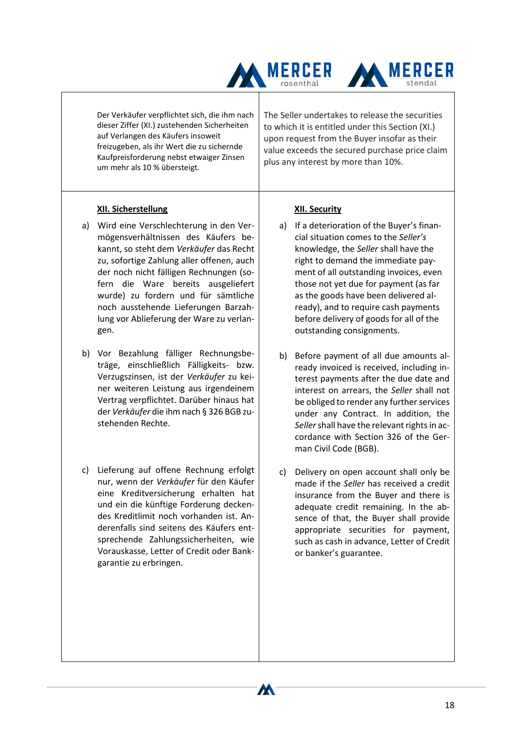



Der Verkäufer verpflichtet sich, die ihm nach dieser Ziffer (XI.) zustehenden Sicherheiten auf Verlangen des Käufers insoweit freizugeben, als ihr Wert die zu sichernde Kaufpreisforderung nebst etwaiger Zinsen um mehr als 10 % übersteigt.

## **XII. Sicherstellung**

- a) Wird eine Verschlechterung in den Vermögensverhältnissen des Käufers bekannt, so steht dem *Verkäufer* das Recht zu, sofortige Zahlung aller offenen, auch der noch nicht fälligen Rechnungen (sofern die Ware bereits ausgeliefert wurde) zu fordern und für sämtliche noch ausstehende Lieferungen Barzahlung vor Ablieferung der Ware zu verlangen.
- b) Vor Bezahlung fälliger Rechnungsbeträge, einschließlich Fälligkeits- bzw. Verzugszinsen, ist der *Verkäufer* zu keiner weiteren Leistung aus irgendeinem Vertrag verpflichtet. Darüber hinaus hat der *Verkäufer* die ihm nach § 326 BGB zustehenden Rechte.
- c) Lieferung auf offene Rechnung erfolgt nur, wenn der *Verkäufer* für den Käufer eine Kreditversicherung erhalten hat und ein die künftige Forderung deckendes Kreditlimit noch vorhanden ist. Anderenfalls sind seitens des Käufers entsprechende Zahlungssicherheiten, wie Vorauskasse, Letter of Credit oder Bankgarantie zu erbringen.

The Seller undertakes to release the securities to which it is entitled under this Section (XI.) upon request from the Buyer insofar as their value exceeds the secured purchase price claim plus any interest by more than 10%.

## **XII. Security**

- a) If a deterioration of the Buyer's financial situation comes to the *Seller's* knowledge, the *Seller* shall have the right to demand the immediate payment of all outstanding invoices, even those not yet due for payment (as far as the goods have been delivered already), and to require cash payments before delivery of goods for all of the outstanding consignments.
- b) Before payment of all due amounts already invoiced is received, including interest payments after the due date and interest on arrears, the *Seller* shall not be obliged to render any further services under any Contract. In addition, the *Seller*shall have the relevant rights in accordance with Section 326 of the German Civil Code (BGB).
- c) Delivery on open account shall only be made if the *Seller* has received a credit insurance from the Buyer and there is adequate credit remaining. In the absence of that, the Buyer shall provide appropriate securities for payment, such as cash in advance, Letter of Credit or banker's guarantee.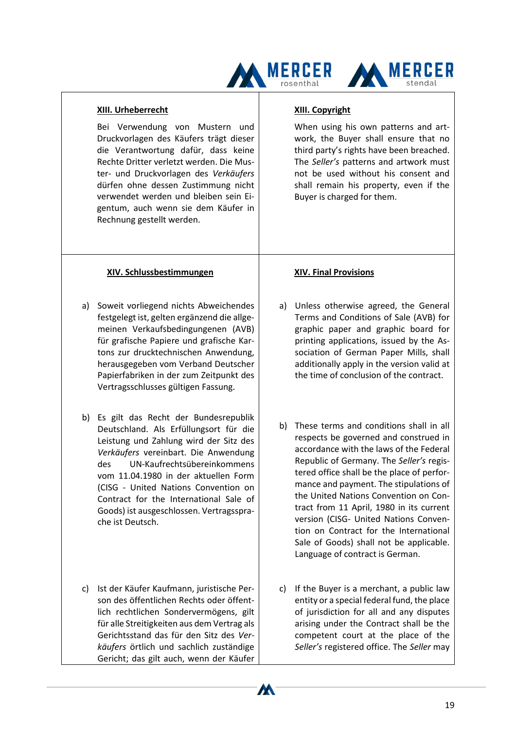



#### **XIII. Urheberrecht**

Bei Verwendung von Mustern und Druckvorlagen des Käufers trägt dieser die Verantwortung dafür, dass keine Rechte Dritter verletzt werden. Die Muster- und Druckvorlagen des *Verkäufers* dürfen ohne dessen Zustimmung nicht verwendet werden und bleiben sein Eigentum, auch wenn sie dem Käufer in Rechnung gestellt werden.

## **XIV. Schlussbestimmungen**

- a) Soweit vorliegend nichts Abweichendes festgelegt ist, gelten ergänzend die allgemeinen Verkaufsbedingungenen (AVB) für grafische Papiere und grafische Kartons zur drucktechnischen Anwendung, herausgegeben vom Verband Deutscher Papierfabriken in der zum Zeitpunkt des Vertragsschlusses gültigen Fassung.
- b) Es gilt das Recht der Bundesrepublik Deutschland. Als Erfüllungsort für die Leistung und Zahlung wird der Sitz des *Verkäufers* vereinbart. Die Anwendung des UN-Kaufrechtsübereinkommens vom 11.04.1980 in der aktuellen Form (CISG - United Nations Convention on Contract for the International Sale of Goods) ist ausgeschlossen. Vertragssprache ist Deutsch.
- c) Ist der Käufer Kaufmann, juristische Person des öffentlichen Rechts oder öffentlich rechtlichen Sondervermögens, gilt für alle Streitigkeiten aus dem Vertrag als Gerichtsstand das für den Sitz des *Verkäufers* örtlich und sachlich zuständige Gericht; das gilt auch, wenn der Käufer

#### **XIII. Copyright**

When using his own patterns and artwork, the Buyer shall ensure that no third party's rights have been breached. The *Seller's* patterns and artwork must not be used without his consent and shall remain his property, even if the Buyer is charged for them.

#### **XIV. Final Provisions**

- a) Unless otherwise agreed, the General Terms and Conditions of Sale (AVB) for graphic paper and graphic board for printing applications, issued by the Association of German Paper Mills, shall additionally apply in the version valid at the time of conclusion of the contract.
- b) These terms and conditions shall in all respects be governed and construed in accordance with the laws of the Federal Republic of Germany. The *Seller's* registered office shall be the place of performance and payment. The stipulations of the United Nations Convention on Contract from 11 April, 1980 in its current version (CISG- United Nations Convention on Contract for the International Sale of Goods) shall not be applicable. Language of contract is German.
- c) If the Buyer is a merchant, a public law entity or a special federal fund, the place of jurisdiction for all and any disputes arising under the Contract shall be the competent court at the place of the *Seller's* registered office. The *Seller* may